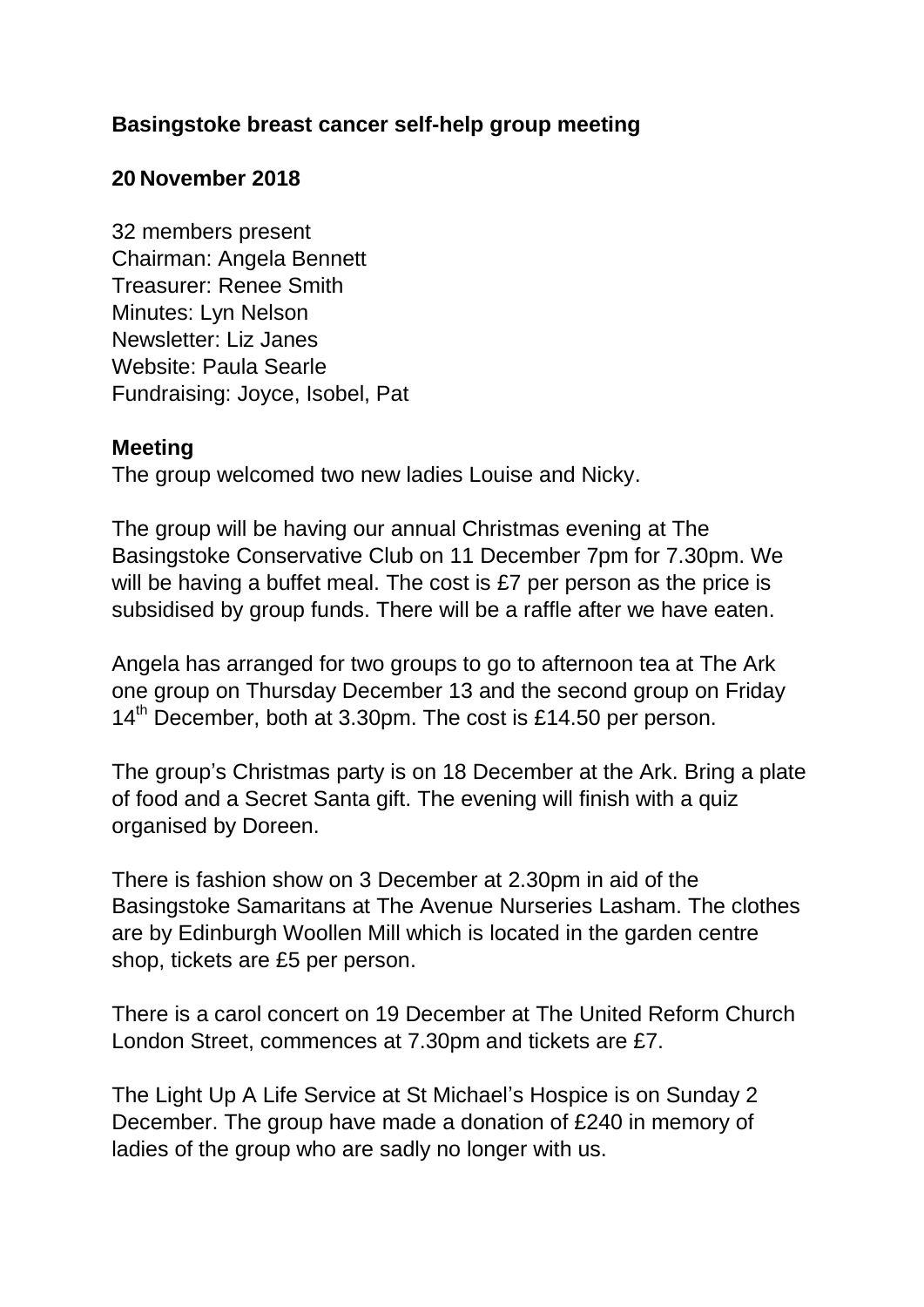## **Basingstoke breast cancer self-help group meeting**

## **20 November 2018**

32 members present Chairman: Angela Bennett Treasurer: Renee Smith Minutes: Lyn Nelson Newsletter: Liz Janes Website: Paula Searle Fundraising: Joyce, Isobel, Pat

## **Meeting**

The group welcomed two new ladies Louise and Nicky.

The group will be having our annual Christmas evening at The Basingstoke Conservative Club on 11 December 7pm for 7.30pm. We will be having a buffet meal. The cost is £7 per person as the price is subsidised by group funds. There will be a raffle after we have eaten.

Angela has arranged for two groups to go to afternoon tea at The Ark one group on Thursday December 13 and the second group on Friday 14<sup>th</sup> December, both at 3.30pm. The cost is £14.50 per person.

The group's Christmas party is on 18 December at the Ark. Bring a plate of food and a Secret Santa gift. The evening will finish with a quiz organised by Doreen.

There is fashion show on 3 December at 2.30pm in aid of the Basingstoke Samaritans at The Avenue Nurseries Lasham. The clothes are by Edinburgh Woollen Mill which is located in the garden centre shop, tickets are £5 per person.

There is a carol concert on 19 December at The United Reform Church London Street, commences at 7.30pm and tickets are £7.

The Light Up A Life Service at St Michael's Hospice is on Sunday 2 December. The group have made a donation of £240 in memory of ladies of the group who are sadly no longer with us.